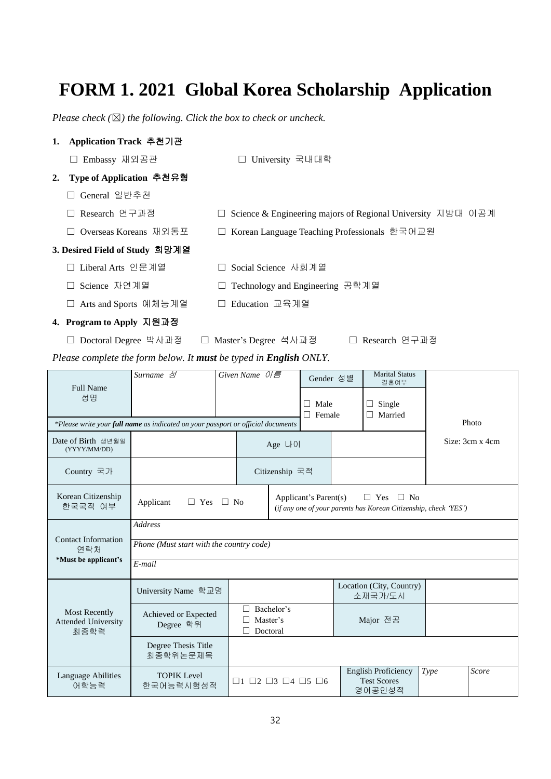## **FORM 1. 2021 Global Korea Scholarship Application**

*Please check (*☒*) the following. Click the box to check or uncheck.* 

| Application Track 추천기관<br>1.                                      |                                                                                  |                                                             |                |                              |  |                                                                                             |                 |  |  |  |
|-------------------------------------------------------------------|----------------------------------------------------------------------------------|-------------------------------------------------------------|----------------|------------------------------|--|---------------------------------------------------------------------------------------------|-----------------|--|--|--|
| □ Embassy 재외공관                                                    |                                                                                  | University 국내대학                                             |                |                              |  |                                                                                             |                 |  |  |  |
| Type of Application 추천유형<br>2.                                    |                                                                                  |                                                             |                |                              |  |                                                                                             |                 |  |  |  |
| General 일반추천                                                      |                                                                                  |                                                             |                |                              |  |                                                                                             |                 |  |  |  |
| Research 연구과정                                                     |                                                                                  | Science & Engineering majors of Regional University 지방대 이공계 |                |                              |  |                                                                                             |                 |  |  |  |
| Overseas Koreans 재외동포                                             | □ Korean Language Teaching Professionals 한국어교원                                   |                                                             |                |                              |  |                                                                                             |                 |  |  |  |
| 3. Desired Field of Study 희망계열                                    |                                                                                  |                                                             |                |                              |  |                                                                                             |                 |  |  |  |
| □ Liberal Arts 인문계열                                               | □ Social Science 사회계열                                                            |                                                             |                |                              |  |                                                                                             |                 |  |  |  |
| Science 자연계열                                                      | Technology and Engineering 공학계열                                                  |                                                             |                |                              |  |                                                                                             |                 |  |  |  |
| □ Arts and Sports 예체능계열                                           | □ Education 교육계열                                                                 |                                                             |                |                              |  |                                                                                             |                 |  |  |  |
| 4. Program to Apply 지원과정                                          |                                                                                  |                                                             |                |                              |  |                                                                                             |                 |  |  |  |
| □ Doctoral Degree 박사과정<br>□ Master's Degree 석사과정<br>Research 연구과정 |                                                                                  |                                                             |                |                              |  |                                                                                             |                 |  |  |  |
| Please complete the form below. It must be typed in English ONLY. |                                                                                  |                                                             |                |                              |  |                                                                                             |                 |  |  |  |
|                                                                   |                                                                                  |                                                             |                |                              |  |                                                                                             |                 |  |  |  |
|                                                                   | Surname 성                                                                        | Given Name 이름                                               |                | Gender 성별                    |  | <b>Marital Status</b>                                                                       |                 |  |  |  |
| Full Name                                                         |                                                                                  |                                                             |                |                              |  | 결혼여부                                                                                        |                 |  |  |  |
| 성명                                                                |                                                                                  |                                                             |                | $\Box$ Male<br>$\Box$ Female |  | $\Box$ Single<br>$\Box$ Married                                                             |                 |  |  |  |
|                                                                   | *Please write your full name as indicated on your passport or official documents |                                                             |                |                              |  |                                                                                             | Photo           |  |  |  |
| Date of Birth 생년월일<br>(YYYY/MM/DD)                                |                                                                                  |                                                             | Age $L[0]$     |                              |  |                                                                                             | Size: 3cm x 4cm |  |  |  |
| Country 국가                                                        |                                                                                  |                                                             | Citizenship 국적 |                              |  |                                                                                             |                 |  |  |  |
| Korean Citizenship<br>한국국적 여부                                     | Applicant                                                                        | $\Box$ Yes $\Box$ No                                        |                | Applicant's Parent(s)        |  | $\Box$ Yes<br>$\Box$ No<br>(if any one of your parents has Korean Citizenship, check 'YES') |                 |  |  |  |
| <b>Contact Information</b>                                        | Address                                                                          |                                                             |                |                              |  |                                                                                             |                 |  |  |  |

| *Must be applicant's                                | E-mail                            |                                                                           |                                                            |      |       |  |  |  |  |  |
|-----------------------------------------------------|-----------------------------------|---------------------------------------------------------------------------|------------------------------------------------------------|------|-------|--|--|--|--|--|
| Most Recently<br><b>Attended University</b><br>최종학력 | University Name 학교명               |                                                                           | Location (City, Country)<br>소재국가/도시                        |      |       |  |  |  |  |  |
|                                                     | Achieved or Expected<br>Degree 학위 | Bachelor's<br>$\mathsf{L}$<br>$\Box$ Master's<br>Doctoral<br>$\mathsf{L}$ | Major 전공                                                   |      |       |  |  |  |  |  |
|                                                     | Degree Thesis Title<br>최종학위논문제목   |                                                                           |                                                            |      |       |  |  |  |  |  |
| Language Abilities<br>어학능력                          | <b>TOPIK</b> Level<br>한국어능력시험성적   | $\Box$ 1 $\Box$ 2 $\Box$ 3 $\Box$ 4 $\Box$ 5 $\Box$ 6                     | <b>English Proficiency</b><br><b>Test Scores</b><br>영어공인성적 | Type | Score |  |  |  |  |  |